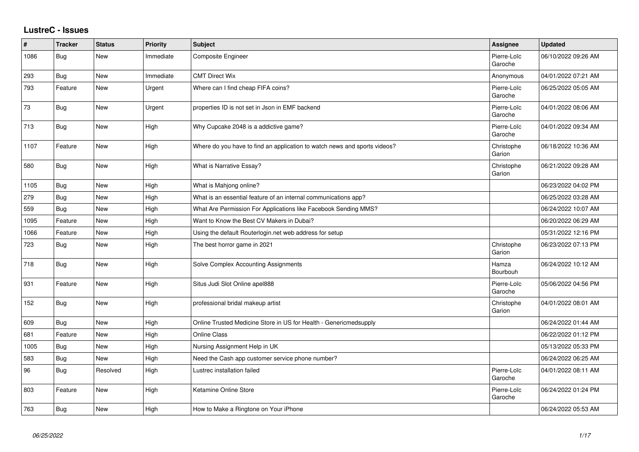## **LustreC - Issues**

| ∦    | <b>Tracker</b> | <b>Status</b> | <b>Priority</b> | <b>Subject</b>                                                            | <b>Assignee</b>        | <b>Updated</b>      |
|------|----------------|---------------|-----------------|---------------------------------------------------------------------------|------------------------|---------------------|
| 1086 | <b>Bug</b>     | New           | Immediate       | Composite Engineer                                                        | Pierre-Loïc<br>Garoche | 06/10/2022 09:26 AM |
| 293  | Bug            | <b>New</b>    | Immediate       | <b>CMT Direct Wix</b>                                                     | Anonymous              | 04/01/2022 07:21 AM |
| 793  | Feature        | New           | Urgent          | Where can I find cheap FIFA coins?                                        | Pierre-Loïc<br>Garoche | 06/25/2022 05:05 AM |
| 73   | Bug            | <b>New</b>    | Urgent          | properties ID is not set in Json in EMF backend                           | Pierre-Loïc<br>Garoche | 04/01/2022 08:06 AM |
| 713  | Bug            | New           | High            | Why Cupcake 2048 is a addictive game?                                     | Pierre-Loïc<br>Garoche | 04/01/2022 09:34 AM |
| 1107 | Feature        | New           | High            | Where do you have to find an application to watch news and sports videos? | Christophe<br>Garion   | 06/18/2022 10:36 AM |
| 580  | Bug            | New           | High            | What is Narrative Essay?                                                  | Christophe<br>Garion   | 06/21/2022 09:28 AM |
| 1105 | <b>Bug</b>     | <b>New</b>    | High            | What is Mahjong online?                                                   |                        | 06/23/2022 04:02 PM |
| 279  | <b>Bug</b>     | <b>New</b>    | High            | What is an essential feature of an internal communications app?           |                        | 06/25/2022 03:28 AM |
| 559  | <b>Bug</b>     | <b>New</b>    | High            | What Are Permission For Applications like Facebook Sending MMS?           |                        | 06/24/2022 10:07 AM |
| 1095 | Feature        | <b>New</b>    | High            | Want to Know the Best CV Makers in Dubai?                                 |                        | 06/20/2022 06:29 AM |
| 1066 | Feature        | <b>New</b>    | High            | Using the default Routerlogin.net web address for setup                   |                        | 05/31/2022 12:16 PM |
| 723  | Bug            | <b>New</b>    | High            | The best horror game in 2021                                              | Christophe<br>Garion   | 06/23/2022 07:13 PM |
| 718  | Bug            | <b>New</b>    | High            | Solve Complex Accounting Assignments                                      | Hamza<br>Bourbouh      | 06/24/2022 10:12 AM |
| 931  | Feature        | <b>New</b>    | High            | Situs Judi Slot Online apel888                                            | Pierre-Loïc<br>Garoche | 05/06/2022 04:56 PM |
| 152  | <b>Bug</b>     | New           | High            | professional bridal makeup artist                                         | Christophe<br>Garion   | 04/01/2022 08:01 AM |
| 609  | <b>Bug</b>     | <b>New</b>    | High            | Online Trusted Medicine Store in US for Health - Genericmedsupply         |                        | 06/24/2022 01:44 AM |
| 681  | Feature        | <b>New</b>    | High            | <b>Online Class</b>                                                       |                        | 06/22/2022 01:12 PM |
| 1005 | Bug            | <b>New</b>    | High            | Nursing Assignment Help in UK                                             |                        | 05/13/2022 05:33 PM |
| 583  | <b>Bug</b>     | <b>New</b>    | High            | Need the Cash app customer service phone number?                          |                        | 06/24/2022 06:25 AM |
| 96   | Bug            | Resolved      | High            | Lustrec installation failed                                               | Pierre-Loïc<br>Garoche | 04/01/2022 08:11 AM |
| 803  | Feature        | <b>New</b>    | High            | Ketamine Online Store                                                     | Pierre-Loïc<br>Garoche | 06/24/2022 01:24 PM |
| 763  | Bug            | New           | High            | How to Make a Ringtone on Your iPhone                                     |                        | 06/24/2022 05:53 AM |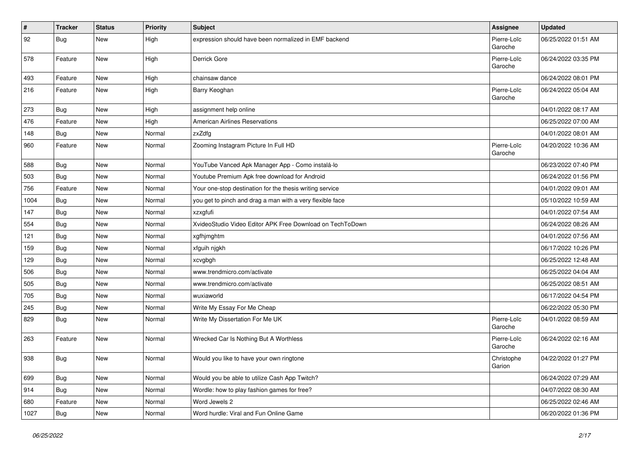| $\vert$ # | <b>Tracker</b> | <b>Status</b> | <b>Priority</b> | <b>Subject</b>                                            | Assignee               | <b>Updated</b>      |
|-----------|----------------|---------------|-----------------|-----------------------------------------------------------|------------------------|---------------------|
| 92        | Bug            | New           | High            | expression should have been normalized in EMF backend     | Pierre-Loïc<br>Garoche | 06/25/2022 01:51 AM |
| 578       | Feature        | New           | High            | Derrick Gore                                              | Pierre-Loïc<br>Garoche | 06/24/2022 03:35 PM |
| 493       | Feature        | New           | High            | chainsaw dance                                            |                        | 06/24/2022 08:01 PM |
| 216       | Feature        | New           | High            | Barry Keoghan                                             | Pierre-Loïc<br>Garoche | 06/24/2022 05:04 AM |
| 273       | Bug            | New           | High            | assignment help online                                    |                        | 04/01/2022 08:17 AM |
| 476       | Feature        | New           | High            | <b>American Airlines Reservations</b>                     |                        | 06/25/2022 07:00 AM |
| 148       | Bug            | <b>New</b>    | Normal          | zxZdfg                                                    |                        | 04/01/2022 08:01 AM |
| 960       | Feature        | New           | Normal          | Zooming Instagram Picture In Full HD                      | Pierre-Loïc<br>Garoche | 04/20/2022 10:36 AM |
| 588       | Bug            | New           | Normal          | YouTube Vanced Apk Manager App - Como instalá-lo          |                        | 06/23/2022 07:40 PM |
| 503       | Bug            | New           | Normal          | Youtube Premium Apk free download for Android             |                        | 06/24/2022 01:56 PM |
| 756       | Feature        | New           | Normal          | Your one-stop destination for the thesis writing service  |                        | 04/01/2022 09:01 AM |
| 1004      | Bug            | New           | Normal          | you get to pinch and drag a man with a very flexible face |                        | 05/10/2022 10:59 AM |
| 147       | Bug            | <b>New</b>    | Normal          | xzxgfufi                                                  |                        | 04/01/2022 07:54 AM |
| 554       | Bug            | <b>New</b>    | Normal          | XvideoStudio Video Editor APK Free Download on TechToDown |                        | 06/24/2022 08:26 AM |
| 121       | Bug            | New           | Normal          | xgfhjmghtm                                                |                        | 04/01/2022 07:56 AM |
| 159       | Bug            | <b>New</b>    | Normal          | xfguih njgkh                                              |                        | 06/17/2022 10:26 PM |
| 129       | Bug            | New           | Normal          | xcvgbgh                                                   |                        | 06/25/2022 12:48 AM |
| 506       | Bug            | New           | Normal          | www.trendmicro.com/activate                               |                        | 06/25/2022 04:04 AM |
| 505       | Bug            | <b>New</b>    | Normal          | www.trendmicro.com/activate                               |                        | 06/25/2022 08:51 AM |
| 705       | Bug            | New           | Normal          | wuxiaworld                                                |                        | 06/17/2022 04:54 PM |
| 245       | Bug            | <b>New</b>    | Normal          | Write My Essay For Me Cheap                               |                        | 06/22/2022 05:30 PM |
| 829       | Bug            | New           | Normal          | Write My Dissertation For Me UK                           | Pierre-Loïc<br>Garoche | 04/01/2022 08:59 AM |
| 263       | Feature        | New           | Normal          | Wrecked Car Is Nothing But A Worthless                    | Pierre-Loïc<br>Garoche | 06/24/2022 02:16 AM |
| 938       | Bug            | New           | Normal          | Would you like to have your own ringtone                  | Christophe<br>Garion   | 04/22/2022 01:27 PM |
| 699       | <b>Bug</b>     | New           | Normal          | Would you be able to utilize Cash App Twitch?             |                        | 06/24/2022 07:29 AM |
| 914       | Bug            | New           | Normal          | Wordle: how to play fashion games for free?               |                        | 04/07/2022 08:30 AM |
| 680       | Feature        | New           | Normal          | Word Jewels 2                                             |                        | 06/25/2022 02:46 AM |
| 1027      | <b>Bug</b>     | New           | Normal          | Word hurdle: Viral and Fun Online Game                    |                        | 06/20/2022 01:36 PM |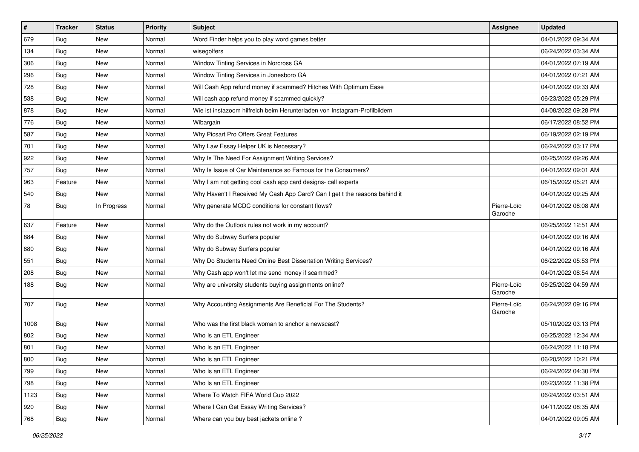| $\vert$ # | <b>Tracker</b> | <b>Status</b> | <b>Priority</b> | <b>Subject</b>                                                             | Assignee               | <b>Updated</b>      |
|-----------|----------------|---------------|-----------------|----------------------------------------------------------------------------|------------------------|---------------------|
| 679       | Bug            | <b>New</b>    | Normal          | Word Finder helps you to play word games better                            |                        | 04/01/2022 09:34 AM |
| 134       | Bug            | <b>New</b>    | Normal          | wisegolfers                                                                |                        | 06/24/2022 03:34 AM |
| 306       | Bug            | New           | Normal          | Window Tinting Services in Norcross GA                                     |                        | 04/01/2022 07:19 AM |
| 296       | Bug            | <b>New</b>    | Normal          | Window Tinting Services in Jonesboro GA                                    |                        | 04/01/2022 07:21 AM |
| 728       | Bug            | <b>New</b>    | Normal          | Will Cash App refund money if scammed? Hitches With Optimum Ease           |                        | 04/01/2022 09:33 AM |
| 538       | Bug            | <b>New</b>    | Normal          | Will cash app refund money if scammed quickly?                             |                        | 06/23/2022 05:29 PM |
| 878       | Bug            | <b>New</b>    | Normal          | Wie ist instazoom hilfreich beim Herunterladen von Instagram-Profilbildern |                        | 04/08/2022 09:28 PM |
| 776       | Bug            | <b>New</b>    | Normal          | Wibargain                                                                  |                        | 06/17/2022 08:52 PM |
| 587       | Bug            | <b>New</b>    | Normal          | Why Picsart Pro Offers Great Features                                      |                        | 06/19/2022 02:19 PM |
| 701       | Bug            | <b>New</b>    | Normal          | Why Law Essay Helper UK is Necessary?                                      |                        | 06/24/2022 03:17 PM |
| 922       | Bug            | <b>New</b>    | Normal          | Why Is The Need For Assignment Writing Services?                           |                        | 06/25/2022 09:26 AM |
| 757       | Bug            | <b>New</b>    | Normal          | Why Is Issue of Car Maintenance so Famous for the Consumers?               |                        | 04/01/2022 09:01 AM |
| 963       | Feature        | New           | Normal          | Why I am not getting cool cash app card designs- call experts              |                        | 06/15/2022 05:21 AM |
| 540       | Bug            | <b>New</b>    | Normal          | Why Haven't I Received My Cash App Card? Can I get t the reasons behind it |                        | 04/01/2022 09:25 AM |
| 78        | Bug            | In Progress   | Normal          | Why generate MCDC conditions for constant flows?                           | Pierre-Loïc<br>Garoche | 04/01/2022 08:08 AM |
| 637       | Feature        | <b>New</b>    | Normal          | Why do the Outlook rules not work in my account?                           |                        | 06/25/2022 12:51 AM |
| 884       | Bug            | <b>New</b>    | Normal          | Why do Subway Surfers popular                                              |                        | 04/01/2022 09:16 AM |
| 880       | Bug            | <b>New</b>    | Normal          | Why do Subway Surfers popular                                              |                        | 04/01/2022 09:16 AM |
| 551       | Bug            | <b>New</b>    | Normal          | Why Do Students Need Online Best Dissertation Writing Services?            |                        | 06/22/2022 05:53 PM |
| 208       | Bug            | New           | Normal          | Why Cash app won't let me send money if scammed?                           |                        | 04/01/2022 08:54 AM |
| 188       | Bug            | <b>New</b>    | Normal          | Why are university students buying assignments online?                     | Pierre-Loïc<br>Garoche | 06/25/2022 04:59 AM |
| 707       | Bug            | <b>New</b>    | Normal          | Why Accounting Assignments Are Beneficial For The Students?                | Pierre-Loïc<br>Garoche | 06/24/2022 09:16 PM |
| 1008      | Bug            | <b>New</b>    | Normal          | Who was the first black woman to anchor a newscast?                        |                        | 05/10/2022 03:13 PM |
| 802       | Bug            | <b>New</b>    | Normal          | Who Is an ETL Engineer                                                     |                        | 06/25/2022 12:34 AM |
| 801       | Bug            | <b>New</b>    | Normal          | Who Is an ETL Engineer                                                     |                        | 06/24/2022 11:18 PM |
| 800       | Bug            | New           | Normal          | Who Is an ETL Engineer                                                     |                        | 06/20/2022 10:21 PM |
| 799       | Bug            | New           | Normal          | Who Is an ETL Engineer                                                     |                        | 06/24/2022 04:30 PM |
| 798       | <b>Bug</b>     | New           | Normal          | Who Is an ETL Engineer                                                     |                        | 06/23/2022 11:38 PM |
| 1123      | Bug            | New           | Normal          | Where To Watch FIFA World Cup 2022                                         |                        | 06/24/2022 03:51 AM |
| 920       | Bug            | New           | Normal          | Where I Can Get Essay Writing Services?                                    |                        | 04/11/2022 08:35 AM |
| 768       | <b>Bug</b>     | New           | Normal          | Where can you buy best jackets online?                                     |                        | 04/01/2022 09:05 AM |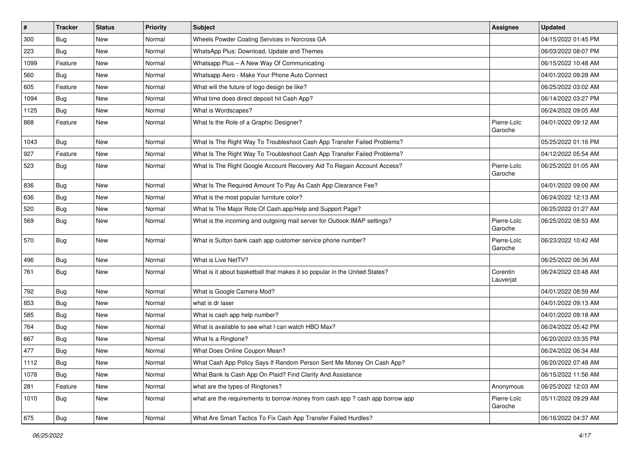| #    | <b>Tracker</b> | <b>Status</b> | <b>Priority</b> | Subject                                                                       | Assignee               | <b>Updated</b>      |
|------|----------------|---------------|-----------------|-------------------------------------------------------------------------------|------------------------|---------------------|
| 300  | Bug            | New           | Normal          | Wheels Powder Coating Services in Norcross GA                                 |                        | 04/15/2022 01:45 PM |
| 223  | Bug            | <b>New</b>    | Normal          | WhatsApp Plus: Download, Update and Themes                                    |                        | 06/03/2022 08:07 PM |
| 1099 | Feature        | New           | Normal          | Whatsapp Plus - A New Way Of Communicating                                    |                        | 06/15/2022 10:48 AM |
| 560  | Bug            | <b>New</b>    | Normal          | Whatsapp Aero - Make Your Phone Auto Connect                                  |                        | 04/01/2022 09:28 AM |
| 605  | Feature        | <b>New</b>    | Normal          | What will the future of logo design be like?                                  |                        | 06/25/2022 03:02 AM |
| 1094 | Bug            | New           | Normal          | What time does direct deposit hit Cash App?                                   |                        | 06/14/2022 03:27 PM |
| 1125 | Bug            | <b>New</b>    | Normal          | What is Wordscapes?                                                           |                        | 06/24/2022 09:05 AM |
| 868  | Feature        | New           | Normal          | What Is the Role of a Graphic Designer?                                       | Pierre-Loïc<br>Garoche | 04/01/2022 09:12 AM |
| 1043 | Bug            | New           | Normal          | What Is The Right Way To Troubleshoot Cash App Transfer Failed Problems?      |                        | 05/25/2022 01:16 PM |
| 927  | Feature        | <b>New</b>    | Normal          | What Is The Right Way To Troubleshoot Cash App Transfer Failed Problems?      |                        | 04/12/2022 05:54 AM |
| 523  | Bug            | New           | Normal          | What Is The Right Google Account Recovery Aid To Regain Account Access?       | Pierre-Loïc<br>Garoche | 06/25/2022 01:05 AM |
| 836  | Bug            | New           | Normal          | What Is The Required Amount To Pay As Cash App Clearance Fee?                 |                        | 04/01/2022 09:00 AM |
| 636  | Bug            | <b>New</b>    | Normal          | What is the most popular furniture color?                                     |                        | 06/24/2022 12:13 AM |
| 520  | Bug            | New           | Normal          | What Is The Major Role Of Cash.app/Help and Support Page?                     |                        | 06/25/2022 01:27 AM |
| 569  | Bug            | <b>New</b>    | Normal          | What is the incoming and outgoing mail server for Outlook IMAP settings?      | Pierre-Loïc<br>Garoche | 06/25/2022 08:53 AM |
| 570  | Bug            | <b>New</b>    | Normal          | What is Sutton bank cash app customer service phone number?                   | Pierre-Loïc<br>Garoche | 06/23/2022 10:42 AM |
| 496  | Bug            | <b>New</b>    | Normal          | What is Live NetTV?                                                           |                        | 06/25/2022 06:36 AM |
| 761  | Bug            | New           | Normal          | What is it about basketball that makes it so popular in the United States?    | Corentin<br>Lauverjat  | 06/24/2022 03:48 AM |
| 792  | Bug            | New           | Normal          | What is Google Camera Mod?                                                    |                        | 04/01/2022 08:59 AM |
| 853  | Bug            | <b>New</b>    | Normal          | what is dr laser                                                              |                        | 04/01/2022 09:13 AM |
| 585  | Bug            | <b>New</b>    | Normal          | What is cash app help number?                                                 |                        | 04/01/2022 09:18 AM |
| 764  | Bug            | <b>New</b>    | Normal          | What is available to see what I can watch HBO Max?                            |                        | 06/24/2022 05:42 PM |
| 667  | Bug            | <b>New</b>    | Normal          | What Is a Ringtone?                                                           |                        | 06/20/2022 03:35 PM |
| 477  | Bug            | <b>New</b>    | Normal          | What Does Online Coupon Mean?                                                 |                        | 06/24/2022 06:34 AM |
| 1112 | Bug            | New           | Normal          | What Cash App Policy Says If Random Person Sent Me Money On Cash App?         |                        | 06/20/2022 07:48 AM |
| 1078 | Bug            | New           | Normal          | What Bank Is Cash App On Plaid? Find Clarity And Assistance                   |                        | 06/15/2022 11:56 AM |
| 281  | Feature        | New           | Normal          | what are the types of Ringtones?                                              | Anonymous              | 06/25/2022 12:03 AM |
| 1010 | Bug            | New           | Normal          | what are the requirements to borrow money from cash app ? cash app borrow app | Pierre-Loïc<br>Garoche | 05/11/2022 09:29 AM |
| 675  | <b>Bug</b>     | New           | Normal          | What Are Smart Tactics To Fix Cash App Transfer Failed Hurdles?               |                        | 06/16/2022 04:37 AM |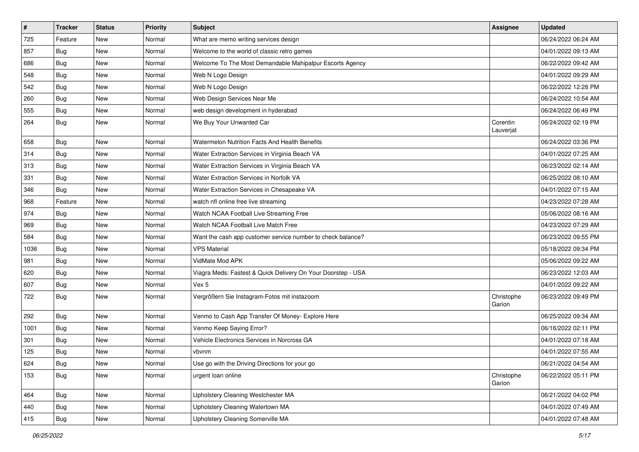| $\vert$ # | <b>Tracker</b> | <b>Status</b> | <b>Priority</b> | <b>Subject</b>                                               | Assignee              | <b>Updated</b>      |
|-----------|----------------|---------------|-----------------|--------------------------------------------------------------|-----------------------|---------------------|
| 725       | Feature        | <b>New</b>    | Normal          | What are memo writing services design                        |                       | 06/24/2022 06:24 AM |
| 857       | Bug            | New           | Normal          | Welcome to the world of classic retro games                  |                       | 04/01/2022 09:13 AM |
| 686       | Bug            | <b>New</b>    | Normal          | Welcome To The Most Demandable Mahipalpur Escorts Agency     |                       | 06/22/2022 09:42 AM |
| 548       | Bug            | <b>New</b>    | Normal          | Web N Logo Design                                            |                       | 04/01/2022 09:29 AM |
| 542       | Bug            | <b>New</b>    | Normal          | Web N Logo Design                                            |                       | 06/22/2022 12:28 PM |
| 260       | Bug            | <b>New</b>    | Normal          | Web Design Services Near Me                                  |                       | 06/24/2022 10:54 AM |
| 555       | Bug            | <b>New</b>    | Normal          | web design development in hyderabad                          |                       | 06/24/2022 06:49 PM |
| 264       | Bug            | New           | Normal          | We Buy Your Unwanted Car                                     | Corentin<br>Lauverjat | 06/24/2022 02:19 PM |
| 658       | Bug            | <b>New</b>    | Normal          | Watermelon Nutrition Facts And Health Benefits               |                       | 06/24/2022 03:36 PM |
| 314       | Bug            | <b>New</b>    | Normal          | Water Extraction Services in Virginia Beach VA               |                       | 04/01/2022 07:25 AM |
| 313       | Bug            | <b>New</b>    | Normal          | Water Extraction Services in Virginia Beach VA               |                       | 06/23/2022 02:14 AM |
| 331       | Bug            | New           | Normal          | Water Extraction Services in Norfolk VA                      |                       | 06/25/2022 08:10 AM |
| 346       | Bug            | <b>New</b>    | Normal          | Water Extraction Services in Chesapeake VA                   |                       | 04/01/2022 07:15 AM |
| 968       | Feature        | <b>New</b>    | Normal          | watch nfl online free live streaming                         |                       | 04/23/2022 07:28 AM |
| 974       | Bug            | New           | Normal          | Watch NCAA Football Live Streaming Free                      |                       | 05/06/2022 08:16 AM |
| 969       | Bug            | <b>New</b>    | Normal          | Watch NCAA Football Live Match Free                          |                       | 04/23/2022 07:29 AM |
| 584       | Bug            | <b>New</b>    | Normal          | Want the cash app customer service number to check balance?  |                       | 06/23/2022 09:55 PM |
| 1036      | Bug            | <b>New</b>    | Normal          | <b>VPS Material</b>                                          |                       | 05/18/2022 09:34 PM |
| 981       | Bug            | <b>New</b>    | Normal          | VidMate Mod APK                                              |                       | 05/06/2022 09:22 AM |
| 620       | Bug            | New           | Normal          | Viagra Meds: Fastest & Quick Delivery On Your Doorstep - USA |                       | 06/23/2022 12:03 AM |
| 607       | Bug            | <b>New</b>    | Normal          | Vex 5                                                        |                       | 04/01/2022 09:22 AM |
| 722       | Bug            | <b>New</b>    | Normal          | Vergrößern Sie Instagram-Fotos mit instazoom                 | Christophe<br>Garion  | 06/23/2022 09:49 PM |
| 292       | Bug            | New           | Normal          | Venmo to Cash App Transfer Of Money- Explore Here            |                       | 06/25/2022 09:34 AM |
| 1001      | Bug            | <b>New</b>    | Normal          | Venmo Keep Saying Error?                                     |                       | 06/16/2022 02:11 PM |
| 301       | Bug            | <b>New</b>    | Normal          | Vehicle Electronics Services in Norcross GA                  |                       | 04/01/2022 07:18 AM |
| 125       | Bug            | <b>New</b>    | Normal          | vbvnm                                                        |                       | 04/01/2022 07:55 AM |
| 624       | <b>Bug</b>     | New           | Normal          | Use go with the Driving Directions for your go               |                       | 06/21/2022 04:54 AM |
| 153       | <b>Bug</b>     | New           | Normal          | urgent loan online                                           | Christophe<br>Garion  | 06/22/2022 05:11 PM |
| 464       | <b>Bug</b>     | New           | Normal          | Upholstery Cleaning Westchester MA                           |                       | 06/21/2022 04:02 PM |
| 440       | Bug            | New           | Normal          | Upholstery Cleaning Watertown MA                             |                       | 04/01/2022 07:49 AM |
| 415       | Bug            | New           | Normal          | Upholstery Cleaning Somerville MA                            |                       | 04/01/2022 07:48 AM |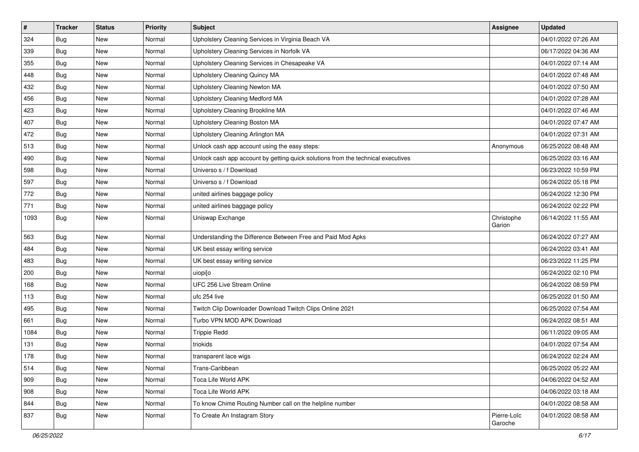| $\vert$ # | <b>Tracker</b> | <b>Status</b> | <b>Priority</b> | <b>Subject</b>                                                                   | <b>Assignee</b>        | <b>Updated</b>      |
|-----------|----------------|---------------|-----------------|----------------------------------------------------------------------------------|------------------------|---------------------|
| 324       | Bug            | New           | Normal          | Upholstery Cleaning Services in Virginia Beach VA                                |                        | 04/01/2022 07:26 AM |
| 339       | Bug            | <b>New</b>    | Normal          | Upholstery Cleaning Services in Norfolk VA                                       |                        | 06/17/2022 04:36 AM |
| 355       | <b>Bug</b>     | New           | Normal          | Upholstery Cleaning Services in Chesapeake VA                                    |                        | 04/01/2022 07:14 AM |
| 448       | Bug            | <b>New</b>    | Normal          | Upholstery Cleaning Quincy MA                                                    |                        | 04/01/2022 07:48 AM |
| 432       | <b>Bug</b>     | <b>New</b>    | Normal          | Upholstery Cleaning Newton MA                                                    |                        | 04/01/2022 07:50 AM |
| 456       | <b>Bug</b>     | New           | Normal          | Upholstery Cleaning Medford MA                                                   |                        | 04/01/2022 07:28 AM |
| 423       | Bug            | <b>New</b>    | Normal          | Upholstery Cleaning Brookline MA                                                 |                        | 04/01/2022 07:46 AM |
| 407       | Bug            | New           | Normal          | Upholstery Cleaning Boston MA                                                    |                        | 04/01/2022 07:47 AM |
| 472       | Bug            | <b>New</b>    | Normal          | Upholstery Cleaning Arlington MA                                                 |                        | 04/01/2022 07:31 AM |
| 513       | <b>Bug</b>     | <b>New</b>    | Normal          | Unlock cash app account using the easy steps:                                    | Anonymous              | 06/25/2022 08:48 AM |
| 490       | Bug            | New           | Normal          | Unlock cash app account by getting quick solutions from the technical executives |                        | 06/25/2022 03:16 AM |
| 598       | <b>Bug</b>     | <b>New</b>    | Normal          | Universo s / f Download                                                          |                        | 06/23/2022 10:59 PM |
| 597       | <b>Bug</b>     | <b>New</b>    | Normal          | Universo s / f Download                                                          |                        | 06/24/2022 05:18 PM |
| 772       | Bug            | New           | Normal          | united airlines baggage policy                                                   |                        | 06/24/2022 12:30 PM |
| 771       | Bug            | <b>New</b>    | Normal          | united airlines baggage policy                                                   |                        | 06/24/2022 02:22 PM |
| 1093      | Bug            | New           | Normal          | Uniswap Exchange                                                                 | Christophe<br>Garion   | 06/14/2022 11:55 AM |
| 563       | Bug            | <b>New</b>    | Normal          | Understanding the Difference Between Free and Paid Mod Apks                      |                        | 06/24/2022 07:27 AM |
| 484       | Bug            | New           | Normal          | UK best essay writing service                                                    |                        | 06/24/2022 03:41 AM |
| 483       | <b>Bug</b>     | <b>New</b>    | Normal          | UK best essay writing service                                                    |                        | 06/23/2022 11:25 PM |
| 200       | <b>Bug</b>     | <b>New</b>    | Normal          | uiopi[o                                                                          |                        | 06/24/2022 02:10 PM |
| 168       | Bug            | <b>New</b>    | Normal          | UFC 256 Live Stream Online                                                       |                        | 06/24/2022 08:59 PM |
| 113       | <b>Bug</b>     | <b>New</b>    | Normal          | ufc 254 live                                                                     |                        | 06/25/2022 01:50 AM |
| 495       | Bug            | New           | Normal          | Twitch Clip Downloader Download Twitch Clips Online 2021                         |                        | 06/25/2022 07:54 AM |
| 661       | Bug            | <b>New</b>    | Normal          | Turbo VPN MOD APK Download                                                       |                        | 06/24/2022 08:51 AM |
| 1084      | Bug            | <b>New</b>    | Normal          | <b>Trippie Redd</b>                                                              |                        | 06/11/2022 09:05 AM |
| 131       | Bug            | New           | Normal          | triokids                                                                         |                        | 04/01/2022 07:54 AM |
| 178       | Bug            | <b>New</b>    | Normal          | transparent lace wigs                                                            |                        | 06/24/2022 02:24 AM |
| 514       | <b>Bug</b>     | New           | Normal          | Trans-Caribbean                                                                  |                        | 06/25/2022 05:22 AM |
| 909       | Bug            | New           | Normal          | Toca Life World APK                                                              |                        | 04/06/2022 04:52 AM |
| 908       | Bug            | New           | Normal          | Toca Life World APK                                                              |                        | 04/06/2022 03:18 AM |
| 844       | Bug            | New           | Normal          | To know Chime Routing Number call on the helpline number                         |                        | 04/01/2022 08:58 AM |
| 837       | <b>Bug</b>     | New           | Normal          | To Create An Instagram Story                                                     | Pierre-Loïc<br>Garoche | 04/01/2022 08:58 AM |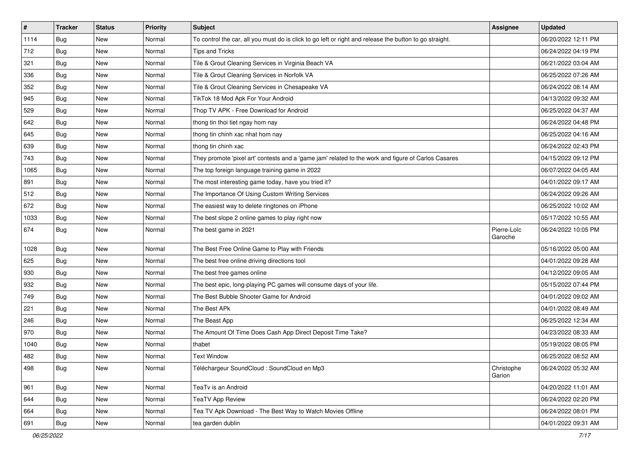| $\vert$ # | <b>Tracker</b> | <b>Status</b> | <b>Priority</b> | <b>Subject</b>                                                                                          | Assignee               | <b>Updated</b>      |
|-----------|----------------|---------------|-----------------|---------------------------------------------------------------------------------------------------------|------------------------|---------------------|
| 1114      | Bug            | New           | Normal          | To control the car, all you must do is click to go left or right and release the button to go straight. |                        | 06/20/2022 12:11 PM |
| 712       | Bug            | <b>New</b>    | Normal          | <b>Tips and Tricks</b>                                                                                  |                        | 06/24/2022 04:19 PM |
| 321       | Bug            | <b>New</b>    | Normal          | Tile & Grout Cleaning Services in Virginia Beach VA                                                     |                        | 06/21/2022 03:04 AM |
| 336       | Bug            | <b>New</b>    | Normal          | Tile & Grout Cleaning Services in Norfolk VA                                                            |                        | 06/25/2022 07:26 AM |
| 352       | Bug            | <b>New</b>    | Normal          | Tile & Grout Cleaning Services in Chesapeake VA                                                         |                        | 06/24/2022 08:14 AM |
| 945       | Bug            | New           | Normal          | TikTok 18 Mod Apk For Your Android                                                                      |                        | 04/13/2022 09:32 AM |
| 529       | Bug            | <b>New</b>    | Normal          | Thop TV APK - Free Download for Android                                                                 |                        | 06/25/2022 04:37 AM |
| 642       | Bug            | <b>New</b>    | Normal          | thong tin thoi tiet ngay hom nay                                                                        |                        | 06/24/2022 04:48 PM |
| 645       | <b>Bug</b>     | <b>New</b>    | Normal          | thong tin chinh xac nhat hom nay                                                                        |                        | 06/25/2022 04:16 AM |
| 639       | Bug            | <b>New</b>    | Normal          | thong tin chinh xac                                                                                     |                        | 06/24/2022 02:43 PM |
| 743       | Bug            | New           | Normal          | They promote 'pixel art' contests and a 'game jam' related to the work and figure of Carlos Casares     |                        | 04/15/2022 09:12 PM |
| 1065      | Bug            | <b>New</b>    | Normal          | The top foreign language training game in 2022                                                          |                        | 06/07/2022 04:05 AM |
| 891       | Bug            | <b>New</b>    | Normal          | The most interesting game today, have you tried it?                                                     |                        | 04/01/2022 09:17 AM |
| 512       | Bug            | New           | Normal          | The Importance Of Using Custom Writing Services                                                         |                        | 06/24/2022 09:26 AM |
| 672       | Bug            | <b>New</b>    | Normal          | The easiest way to delete ringtones on iPhone                                                           |                        | 06/25/2022 10:02 AM |
| 1033      | Bug            | <b>New</b>    | Normal          | The best slope 2 online games to play right now                                                         |                        | 05/17/2022 10:55 AM |
| 674       | Bug            | <b>New</b>    | Normal          | The best game in 2021                                                                                   | Pierre-Loïc<br>Garoche | 06/24/2022 10:05 PM |
| 1028      | Bug            | New           | Normal          | The Best Free Online Game to Play with Friends                                                          |                        | 05/16/2022 05:00 AM |
| 625       | Bug            | <b>New</b>    | Normal          | The best free online driving directions tool                                                            |                        | 04/01/2022 09:28 AM |
| 930       | Bug            | New           | Normal          | The best free games online                                                                              |                        | 04/12/2022 09:05 AM |
| 932       | Bug            | <b>New</b>    | Normal          | The best epic, long-playing PC games will consume days of your life.                                    |                        | 05/15/2022 07:44 PM |
| 749       | Bug            | <b>New</b>    | Normal          | The Best Bubble Shooter Game for Android                                                                |                        | 04/01/2022 09:02 AM |
| 221       | Bug            | New           | Normal          | The Best APk                                                                                            |                        | 04/01/2022 08:49 AM |
| 246       | Bug            | <b>New</b>    | Normal          | The Beast App                                                                                           |                        | 06/25/2022 12:34 AM |
| 970       | Bug            | <b>New</b>    | Normal          | The Amount Of Time Does Cash App Direct Deposit Time Take?                                              |                        | 04/23/2022 08:33 AM |
| 1040      | Bug            | New           | Normal          | thabet                                                                                                  |                        | 05/19/2022 08:05 PM |
| 482       | Bug            | <b>New</b>    | Normal          | <b>Text Window</b>                                                                                      |                        | 06/25/2022 08:52 AM |
| 498       | <b>Bug</b>     | New           | Normal          | Téléchargeur SoundCloud : SoundCloud en Mp3                                                             | Christophe<br>Garion   | 06/24/2022 05:32 AM |
| 961       | Bug            | New           | Normal          | TeaTv is an Android                                                                                     |                        | 04/20/2022 11:01 AM |
| 644       | Bug            | New           | Normal          | <b>TeaTV App Review</b>                                                                                 |                        | 06/24/2022 02:20 PM |
| 664       | <b>Bug</b>     | New           | Normal          | Tea TV Apk Download - The Best Way to Watch Movies Offline                                              |                        | 06/24/2022 08:01 PM |
| 691       | <b>Bug</b>     | New           | Normal          | tea garden dublin                                                                                       |                        | 04/01/2022 09:31 AM |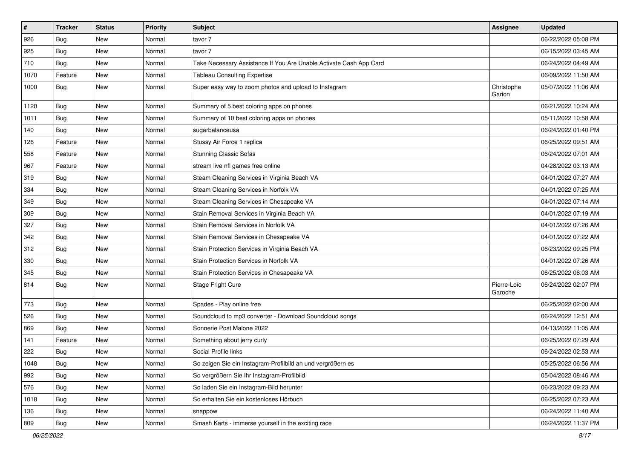| $\vert$ # | <b>Tracker</b> | <b>Status</b> | <b>Priority</b> | <b>Subject</b>                                                     | Assignee               | <b>Updated</b>      |
|-----------|----------------|---------------|-----------------|--------------------------------------------------------------------|------------------------|---------------------|
| 926       | Bug            | New           | Normal          | tavor 7                                                            |                        | 06/22/2022 05:08 PM |
| 925       | Bug            | <b>New</b>    | Normal          | tavor 7                                                            |                        | 06/15/2022 03:45 AM |
| 710       | Bug            | New           | Normal          | Take Necessary Assistance If You Are Unable Activate Cash App Card |                        | 06/24/2022 04:49 AM |
| 1070      | Feature        | <b>New</b>    | Normal          | <b>Tableau Consulting Expertise</b>                                |                        | 06/09/2022 11:50 AM |
| 1000      | <b>Bug</b>     | <b>New</b>    | Normal          | Super easy way to zoom photos and upload to Instagram              | Christophe<br>Garion   | 05/07/2022 11:06 AM |
| 1120      | Bug            | <b>New</b>    | Normal          | Summary of 5 best coloring apps on phones                          |                        | 06/21/2022 10:24 AM |
| 1011      | <b>Bug</b>     | <b>New</b>    | Normal          | Summary of 10 best coloring apps on phones                         |                        | 05/11/2022 10:58 AM |
| 140       | Bug            | <b>New</b>    | Normal          | sugarbalanceusa                                                    |                        | 06/24/2022 01:40 PM |
| 126       | Feature        | <b>New</b>    | Normal          | Stussy Air Force 1 replica                                         |                        | 06/25/2022 09:51 AM |
| 558       | Feature        | New           | Normal          | <b>Stunning Classic Sofas</b>                                      |                        | 06/24/2022 07:01 AM |
| 967       | Feature        | <b>New</b>    | Normal          | stream live nfl games free online                                  |                        | 04/28/2022 03:13 AM |
| 319       | Bug            | <b>New</b>    | Normal          | Steam Cleaning Services in Virginia Beach VA                       |                        | 04/01/2022 07:27 AM |
| 334       | Bug            | <b>New</b>    | Normal          | Steam Cleaning Services in Norfolk VA                              |                        | 04/01/2022 07:25 AM |
| 349       | Bug            | <b>New</b>    | Normal          | Steam Cleaning Services in Chesapeake VA                           |                        | 04/01/2022 07:14 AM |
| 309       | Bug            | New           | Normal          | Stain Removal Services in Virginia Beach VA                        |                        | 04/01/2022 07:19 AM |
| 327       | Bug            | <b>New</b>    | Normal          | Stain Removal Services in Norfolk VA                               |                        | 04/01/2022 07:26 AM |
| 342       | Bug            | <b>New</b>    | Normal          | Stain Removal Services in Chesapeake VA                            |                        | 04/01/2022 07:22 AM |
| 312       | Bug            | <b>New</b>    | Normal          | Stain Protection Services in Virginia Beach VA                     |                        | 06/23/2022 09:25 PM |
| 330       | Bug            | <b>New</b>    | Normal          | Stain Protection Services in Norfolk VA                            |                        | 04/01/2022 07:26 AM |
| 345       | Bug            | <b>New</b>    | Normal          | Stain Protection Services in Chesapeake VA                         |                        | 06/25/2022 06:03 AM |
| 814       | Bug            | <b>New</b>    | Normal          | Stage Fright Cure                                                  | Pierre-Loïc<br>Garoche | 06/24/2022 02:07 PM |
| 773       | Bug            | New           | Normal          | Spades - Play online free                                          |                        | 06/25/2022 02:00 AM |
| 526       | Bug            | <b>New</b>    | Normal          | Soundcloud to mp3 converter - Download Soundcloud songs            |                        | 06/24/2022 12:51 AM |
| 869       | Bug            | New           | Normal          | Sonnerie Post Malone 2022                                          |                        | 04/13/2022 11:05 AM |
| 141       | Feature        | <b>New</b>    | Normal          | Something about jerry curly                                        |                        | 06/25/2022 07:29 AM |
| 222       | Bug            | <b>New</b>    | Normal          | Social Profile links                                               |                        | 06/24/2022 02:53 AM |
| 1048      | Bug            | New           | Normal          | So zeigen Sie ein Instagram-Profilbild an und vergrößern es        |                        | 05/25/2022 06:56 AM |
| 992       | Bug            | New           | Normal          | So vergrößern Sie Ihr Instagram-Profilbild                         |                        | 05/04/2022 08:46 AM |
| 576       | Bug            | New           | Normal          | So laden Sie ein Instagram-Bild herunter                           |                        | 06/23/2022 09:23 AM |
| 1018      | Bug            | New           | Normal          | So erhalten Sie ein kostenloses Hörbuch                            |                        | 06/25/2022 07:23 AM |
| 136       | <b>Bug</b>     | New           | Normal          | snappow                                                            |                        | 06/24/2022 11:40 AM |
| 809       | <b>Bug</b>     | New           | Normal          | Smash Karts - immerse yourself in the exciting race                |                        | 06/24/2022 11:37 PM |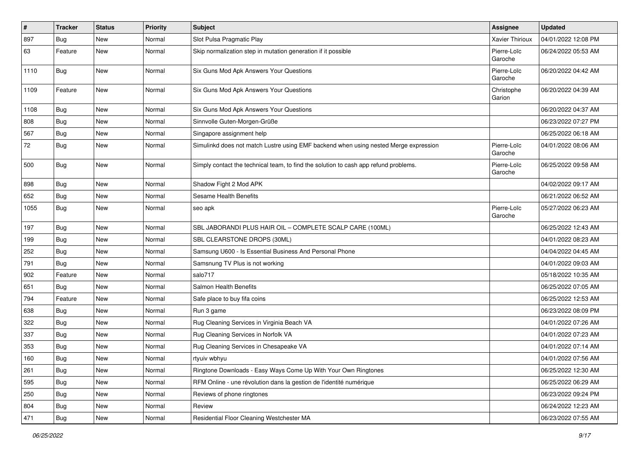| $\vert$ # | <b>Tracker</b> | <b>Status</b> | <b>Priority</b> | <b>Subject</b>                                                                       | Assignee               | <b>Updated</b>      |
|-----------|----------------|---------------|-----------------|--------------------------------------------------------------------------------------|------------------------|---------------------|
| 897       | Bug            | New           | Normal          | Slot Pulsa Pragmatic Play                                                            | Xavier Thirioux        | 04/01/2022 12:08 PM |
| 63        | Feature        | <b>New</b>    | Normal          | Skip normalization step in mutation generation if it possible                        | Pierre-Loïc<br>Garoche | 06/24/2022 05:53 AM |
| 1110      | Bug            | <b>New</b>    | Normal          | Six Guns Mod Apk Answers Your Questions                                              | Pierre-Loïc<br>Garoche | 06/20/2022 04:42 AM |
| 1109      | Feature        | New           | Normal          | Six Guns Mod Apk Answers Your Questions                                              | Christophe<br>Garion   | 06/20/2022 04:39 AM |
| 1108      | Bug            | <b>New</b>    | Normal          | Six Guns Mod Apk Answers Your Questions                                              |                        | 06/20/2022 04:37 AM |
| 808       | Bug            | New           | Normal          | Sinnvolle Guten-Morgen-Grüße                                                         |                        | 06/23/2022 07:27 PM |
| 567       | Bug            | <b>New</b>    | Normal          | Singapore assignment help                                                            |                        | 06/25/2022 06:18 AM |
| 72        | Bug            | New           | Normal          | Simulinkd does not match Lustre using EMF backend when using nested Merge expression | Pierre-Loïc<br>Garoche | 04/01/2022 08:06 AM |
| 500       | Bug            | <b>New</b>    | Normal          | Simply contact the technical team, to find the solution to cash app refund problems. | Pierre-Loïc<br>Garoche | 06/25/2022 09:58 AM |
| 898       | Bug            | <b>New</b>    | Normal          | Shadow Fight 2 Mod APK                                                               |                        | 04/02/2022 09:17 AM |
| 652       | Bug            | <b>New</b>    | Normal          | Sesame Health Benefits                                                               |                        | 06/21/2022 06:52 AM |
| 1055      | Bug            | New           | Normal          | seo apk                                                                              | Pierre-Loïc<br>Garoche | 05/27/2022 06:23 AM |
| 197       | Bug            | New           | Normal          | SBL JABORANDI PLUS HAIR OIL - COMPLETE SCALP CARE (100ML)                            |                        | 06/25/2022 12:43 AM |
| 199       | Bug            | <b>New</b>    | Normal          | SBL CLEARSTONE DROPS (30ML)                                                          |                        | 04/01/2022 08:23 AM |
| 252       | Bug            | <b>New</b>    | Normal          | Samsung U600 - Is Essential Business And Personal Phone                              |                        | 04/04/2022 04:45 AM |
| 791       | Bug            | New           | Normal          | Samsnung TV Plus is not working                                                      |                        | 04/01/2022 09:03 AM |
| 902       | Feature        | <b>New</b>    | Normal          | salo717                                                                              |                        | 05/18/2022 10:35 AM |
| 651       | Bug            | <b>New</b>    | Normal          | Salmon Health Benefits                                                               |                        | 06/25/2022 07:05 AM |
| 794       | Feature        | New           | Normal          | Safe place to buy fifa coins                                                         |                        | 06/25/2022 12:53 AM |
| 638       | Bug            | <b>New</b>    | Normal          | Run 3 game                                                                           |                        | 06/23/2022 08:09 PM |
| 322       | Bug            | New           | Normal          | Rug Cleaning Services in Virginia Beach VA                                           |                        | 04/01/2022 07:26 AM |
| 337       | Bug            | <b>New</b>    | Normal          | Rug Cleaning Services in Norfolk VA                                                  |                        | 04/01/2022 07:23 AM |
| 353       | Bug            | <b>New</b>    | Normal          | Rug Cleaning Services in Chesapeake VA                                               |                        | 04/01/2022 07:14 AM |
| 160       | Bug            | New           | Normal          | rtyuiv wbhyu                                                                         |                        | 04/01/2022 07:56 AM |
| 261       | Bug            | New           | Normal          | Ringtone Downloads - Easy Ways Come Up With Your Own Ringtones                       |                        | 06/25/2022 12:30 AM |
| 595       | <b>Bug</b>     | New           | Normal          | RFM Online - une révolution dans la gestion de l'identité numérique                  |                        | 06/25/2022 06:29 AM |
| 250       | Bug            | New           | Normal          | Reviews of phone ringtones                                                           |                        | 06/23/2022 09:24 PM |
| 804       | Bug            | New           | Normal          | Review                                                                               |                        | 06/24/2022 12:23 AM |
| 471       | Bug            | New           | Normal          | Residential Floor Cleaning Westchester MA                                            |                        | 06/23/2022 07:55 AM |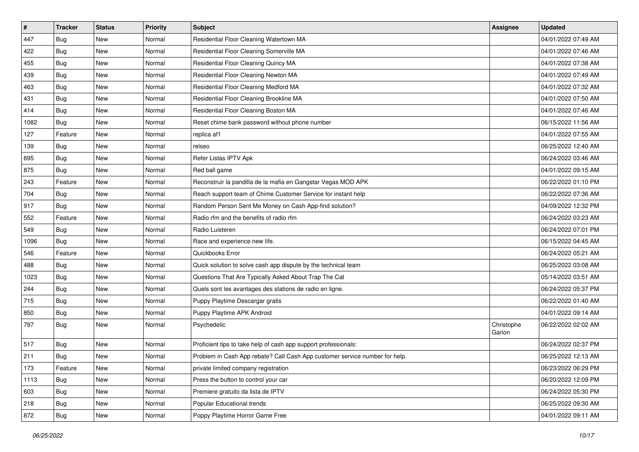| $\vert$ # | <b>Tracker</b> | <b>Status</b> | <b>Priority</b> | <b>Subject</b>                                                              | <b>Assignee</b>      | <b>Updated</b>      |
|-----------|----------------|---------------|-----------------|-----------------------------------------------------------------------------|----------------------|---------------------|
| 447       | <b>Bug</b>     | New           | Normal          | Residential Floor Cleaning Watertown MA                                     |                      | 04/01/2022 07:49 AM |
| 422       | <b>Bug</b>     | <b>New</b>    | Normal          | Residential Floor Cleaning Somerville MA                                    |                      | 04/01/2022 07:46 AM |
| 455       | <b>Bug</b>     | New           | Normal          | Residential Floor Cleaning Quincy MA                                        |                      | 04/01/2022 07:38 AM |
| 439       | Bug            | <b>New</b>    | Normal          | Residential Floor Cleaning Newton MA                                        |                      | 04/01/2022 07:49 AM |
| 463       | <b>Bug</b>     | <b>New</b>    | Normal          | Residential Floor Cleaning Medford MA                                       |                      | 04/01/2022 07:32 AM |
| 431       | Bug            | New           | Normal          | Residential Floor Cleaning Brookline MA                                     |                      | 04/01/2022 07:50 AM |
| 414       | <b>Bug</b>     | <b>New</b>    | Normal          | Residential Floor Cleaning Boston MA                                        |                      | 04/01/2022 07:46 AM |
| 1082      | Bug            | New           | Normal          | Reset chime bank password without phone number                              |                      | 06/15/2022 11:56 AM |
| 127       | Feature        | <b>New</b>    | Normal          | replica af1                                                                 |                      | 04/01/2022 07:55 AM |
| 139       | Bug            | New           | Normal          | relseo                                                                      |                      | 06/25/2022 12:40 AM |
| 695       | Bug            | New           | Normal          | Refer Listas IPTV Apk                                                       |                      | 06/24/2022 03:46 AM |
| 875       | Bug            | New           | Normal          | Red ball game                                                               |                      | 04/01/2022 09:15 AM |
| 243       | Feature        | New           | Normal          | Reconstruir la pandilla de la mafia en Gangstar Vegas MOD APK               |                      | 06/22/2022 01:10 PM |
| 704       | Bug            | New           | Normal          | Reach support team of Chime Customer Service for instant help               |                      | 06/22/2022 07:36 AM |
| 917       | Bug            | <b>New</b>    | Normal          | Random Person Sent Me Money on Cash App-find solution?                      |                      | 04/09/2022 12:32 PM |
| 552       | Feature        | New           | Normal          | Radio rfm and the benefits of radio rfm                                     |                      | 06/24/2022 03:23 AM |
| 549       | Bug            | <b>New</b>    | Normal          | Radio Luisteren                                                             |                      | 06/24/2022 07:01 PM |
| 1096      | Bug            | New           | Normal          | Race and experience new life.                                               |                      | 06/15/2022 04:45 AM |
| 546       | Feature        | New           | Normal          | Quickbooks Error                                                            |                      | 06/24/2022 05:21 AM |
| 488       | Bug            | <b>New</b>    | Normal          | Quick solution to solve cash app dispute by the technical team              |                      | 06/25/2022 03:08 AM |
| 1023      | Bug            | New           | Normal          | Questions That Are Typically Asked About Trap The Cat                       |                      | 05/14/2022 03:51 AM |
| 244       | Bug            | <b>New</b>    | Normal          | Quels sont les avantages des stations de radio en ligne.                    |                      | 06/24/2022 05:37 PM |
| 715       | Bug            | <b>New</b>    | Normal          | Puppy Playtime Descargar gratis                                             |                      | 06/22/2022 01:40 AM |
| 850       | Bug            | New           | Normal          | Puppy Playtime APK Android                                                  |                      | 04/01/2022 09:14 AM |
| 797       | Bug            | <b>New</b>    | Normal          | Psychedelic                                                                 | Christophe<br>Garion | 06/22/2022 02:02 AM |
| 517       | Bug            | <b>New</b>    | Normal          | Proficient tips to take help of cash app support professionals:             |                      | 06/24/2022 02:37 PM |
| 211       | Bug            | New           | Normal          | Problem in Cash App rebate? Call Cash App customer service number for help. |                      | 06/25/2022 12:13 AM |
| 173       | Feature        | New           | Normal          | private limited company registration                                        |                      | 06/23/2022 06:29 PM |
| 1113      | Bug            | New           | Normal          | Press the button to control your car                                        |                      | 06/20/2022 12:09 PM |
| 603       | Bug            | New           | Normal          | Premiere gratuito da lista de IPTV                                          |                      | 06/24/2022 05:30 PM |
| 218       | <b>Bug</b>     | New           | Normal          | Popular Educational trends                                                  |                      | 06/25/2022 09:30 AM |
| 872       | Bug            | New           | Normal          | Poppy Playtime Horror Game Free                                             |                      | 04/01/2022 09:11 AM |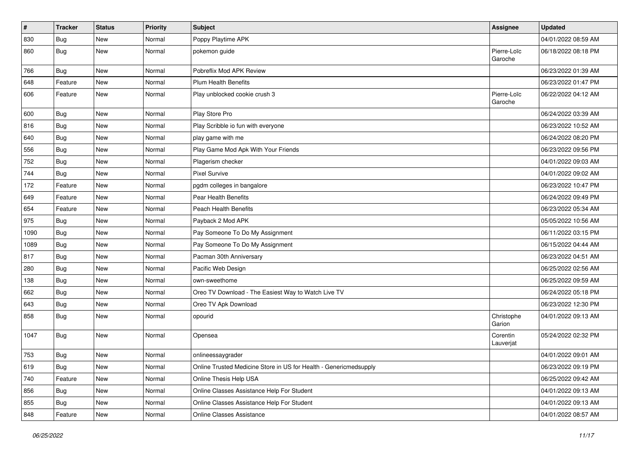| $\vert$ # | <b>Tracker</b> | <b>Status</b> | <b>Priority</b> | <b>Subject</b>                                                    | Assignee               | <b>Updated</b>      |
|-----------|----------------|---------------|-----------------|-------------------------------------------------------------------|------------------------|---------------------|
| 830       | Bug            | New           | Normal          | Poppy Playtime APK                                                |                        | 04/01/2022 08:59 AM |
| 860       | Bug            | <b>New</b>    | Normal          | pokemon guide                                                     | Pierre-Loïc<br>Garoche | 06/18/2022 08:18 PM |
| 766       | Bug            | <b>New</b>    | Normal          | Pobreflix Mod APK Review                                          |                        | 06/23/2022 01:39 AM |
| 648       | Feature        | New           | Normal          | <b>Plum Health Benefits</b>                                       |                        | 06/23/2022 01:47 PM |
| 606       | Feature        | New           | Normal          | Play unblocked cookie crush 3                                     | Pierre-Loïc<br>Garoche | 06/22/2022 04:12 AM |
| 600       | Bug            | <b>New</b>    | Normal          | Play Store Pro                                                    |                        | 06/24/2022 03:39 AM |
| 816       | Bug            | <b>New</b>    | Normal          | Play Scribble io fun with everyone                                |                        | 06/23/2022 10:52 AM |
| 640       | Bug            | <b>New</b>    | Normal          | play game with me                                                 |                        | 06/24/2022 08:20 PM |
| 556       | Bug            | New           | Normal          | Play Game Mod Apk With Your Friends                               |                        | 06/23/2022 09:56 PM |
| 752       | Bug            | <b>New</b>    | Normal          | Plagerism checker                                                 |                        | 04/01/2022 09:03 AM |
| 744       | Bug            | New           | Normal          | <b>Pixel Survive</b>                                              |                        | 04/01/2022 09:02 AM |
| 172       | Feature        | New           | Normal          | pgdm colleges in bangalore                                        |                        | 06/23/2022 10:47 PM |
| 649       | Feature        | <b>New</b>    | Normal          | Pear Health Benefits                                              |                        | 06/24/2022 09:49 PM |
| 654       | Feature        | New           | Normal          | Peach Health Benefits                                             |                        | 06/23/2022 05:34 AM |
| 975       | Bug            | <b>New</b>    | Normal          | Payback 2 Mod APK                                                 |                        | 05/05/2022 10:56 AM |
| 1090      | <b>Bug</b>     | New           | Normal          | Pay Someone To Do My Assignment                                   |                        | 06/11/2022 03:15 PM |
| 1089      | Bug            | New           | Normal          | Pay Someone To Do My Assignment                                   |                        | 06/15/2022 04:44 AM |
| 817       | Bug            | New           | Normal          | Pacman 30th Anniversary                                           |                        | 06/23/2022 04:51 AM |
| 280       | Bug            | <b>New</b>    | Normal          | Pacific Web Design                                                |                        | 06/25/2022 02:56 AM |
| 138       | Bug            | <b>New</b>    | Normal          | own-sweethome                                                     |                        | 06/25/2022 09:59 AM |
| 662       | Bug            | New           | Normal          | Oreo TV Download - The Easiest Way to Watch Live TV               |                        | 06/24/2022 05:18 PM |
| 643       | Bug            | New           | Normal          | Oreo TV Apk Download                                              |                        | 06/23/2022 12:30 PM |
| 858       | Bug            | <b>New</b>    | Normal          | opourid                                                           | Christophe<br>Garion   | 04/01/2022 09:13 AM |
| 1047      | Bug            | New           | Normal          | Opensea                                                           | Corentin<br>Lauverjat  | 05/24/2022 02:32 PM |
| 753       | Bug            | New           | Normal          | onlineessaygrader                                                 |                        | 04/01/2022 09:01 AM |
| 619       | <b>Bug</b>     | New           | Normal          | Online Trusted Medicine Store in US for Health - Genericmedsupply |                        | 06/23/2022 09:19 PM |
| 740       | Feature        | New           | Normal          | Online Thesis Help USA                                            |                        | 06/25/2022 09:42 AM |
| 856       | <b>Bug</b>     | New           | Normal          | Online Classes Assistance Help For Student                        |                        | 04/01/2022 09:13 AM |
| 855       | <b>Bug</b>     | New           | Normal          | Online Classes Assistance Help For Student                        |                        | 04/01/2022 09:13 AM |
| 848       | Feature        | New           | Normal          | Online Classes Assistance                                         |                        | 04/01/2022 08:57 AM |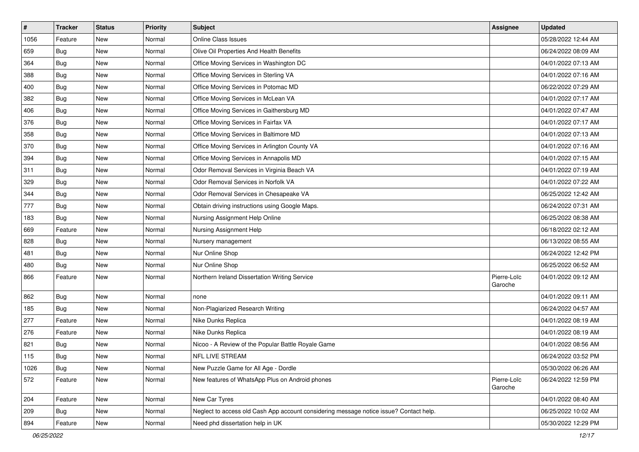| $\vert$ # | <b>Tracker</b> | <b>Status</b> | <b>Priority</b> | <b>Subject</b>                                                                         | <b>Assignee</b>        | <b>Updated</b>      |
|-----------|----------------|---------------|-----------------|----------------------------------------------------------------------------------------|------------------------|---------------------|
| 1056      | Feature        | <b>New</b>    | Normal          | Online Class Issues                                                                    |                        | 05/28/2022 12:44 AM |
| 659       | Bug            | <b>New</b>    | Normal          | Olive Oil Properties And Health Benefits                                               |                        | 06/24/2022 08:09 AM |
| 364       | Bug            | New           | Normal          | Office Moving Services in Washington DC                                                |                        | 04/01/2022 07:13 AM |
| 388       | Bug            | <b>New</b>    | Normal          | Office Moving Services in Sterling VA                                                  |                        | 04/01/2022 07:16 AM |
| 400       | Bug            | <b>New</b>    | Normal          | Office Moving Services in Potomac MD                                                   |                        | 06/22/2022 07:29 AM |
| 382       | Bug            | New           | Normal          | Office Moving Services in McLean VA                                                    |                        | 04/01/2022 07:17 AM |
| 406       | Bug            | <b>New</b>    | Normal          | Office Moving Services in Gaithersburg MD                                              |                        | 04/01/2022 07:47 AM |
| 376       | Bug            | New           | Normal          | Office Moving Services in Fairfax VA                                                   |                        | 04/01/2022 07:17 AM |
| 358       | Bug            | <b>New</b>    | Normal          | Office Moving Services in Baltimore MD                                                 |                        | 04/01/2022 07:13 AM |
| 370       | Bug            | New           | Normal          | Office Moving Services in Arlington County VA                                          |                        | 04/01/2022 07:16 AM |
| 394       | Bug            | New           | Normal          | Office Moving Services in Annapolis MD                                                 |                        | 04/01/2022 07:15 AM |
| 311       | Bug            | New           | Normal          | Odor Removal Services in Virginia Beach VA                                             |                        | 04/01/2022 07:19 AM |
| 329       | Bug            | New           | Normal          | Odor Removal Services in Norfolk VA                                                    |                        | 04/01/2022 07:22 AM |
| 344       | Bug            | New           | Normal          | Odor Removal Services in Chesapeake VA                                                 |                        | 06/25/2022 12:42 AM |
| 777       | Bug            | <b>New</b>    | Normal          | Obtain driving instructions using Google Maps.                                         |                        | 06/24/2022 07:31 AM |
| 183       | Bug            | New           | Normal          | Nursing Assignment Help Online                                                         |                        | 06/25/2022 08:38 AM |
| 669       | Feature        | <b>New</b>    | Normal          | Nursing Assignment Help                                                                |                        | 06/18/2022 02:12 AM |
| 828       | Bug            | <b>New</b>    | Normal          | Nursery management                                                                     |                        | 06/13/2022 08:55 AM |
| 481       | Bug            | New           | Normal          | Nur Online Shop                                                                        |                        | 06/24/2022 12:42 PM |
| 480       | Bug            | <b>New</b>    | Normal          | Nur Online Shop                                                                        |                        | 06/25/2022 06:52 AM |
| 866       | Feature        | New           | Normal          | Northern Ireland Dissertation Writing Service                                          | Pierre-Loïc<br>Garoche | 04/01/2022 09:12 AM |
| 862       | Bug            | New           | Normal          | none                                                                                   |                        | 04/01/2022 09:11 AM |
| 185       | Bug            | New           | Normal          | Non-Plagiarized Research Writing                                                       |                        | 06/24/2022 04:57 AM |
| 277       | Feature        | New           | Normal          | Nike Dunks Replica                                                                     |                        | 04/01/2022 08:19 AM |
| 276       | Feature        | New           | Normal          | Nike Dunks Replica                                                                     |                        | 04/01/2022 08:19 AM |
| 821       | Bug            | <b>New</b>    | Normal          | Nicoo - A Review of the Popular Battle Royale Game                                     |                        | 04/01/2022 08:56 AM |
| 115       | Bug            | New           | Normal          | NFL LIVE STREAM                                                                        |                        | 06/24/2022 03:52 PM |
| 1026      | <b>Bug</b>     | New           | Normal          | New Puzzle Game for All Age - Dordle                                                   |                        | 05/30/2022 06:26 AM |
| 572       | Feature        | New           | Normal          | New features of WhatsApp Plus on Android phones                                        | Pierre-Loïc<br>Garoche | 06/24/2022 12:59 PM |
| 204       | Feature        | New           | Normal          | New Car Tyres                                                                          |                        | 04/01/2022 08:40 AM |
| 209       | Bug            | New           | Normal          | Neglect to access old Cash App account considering message notice issue? Contact help. |                        | 06/25/2022 10:02 AM |
| 894       | Feature        | New           | Normal          | Need phd dissertation help in UK                                                       |                        | 05/30/2022 12:29 PM |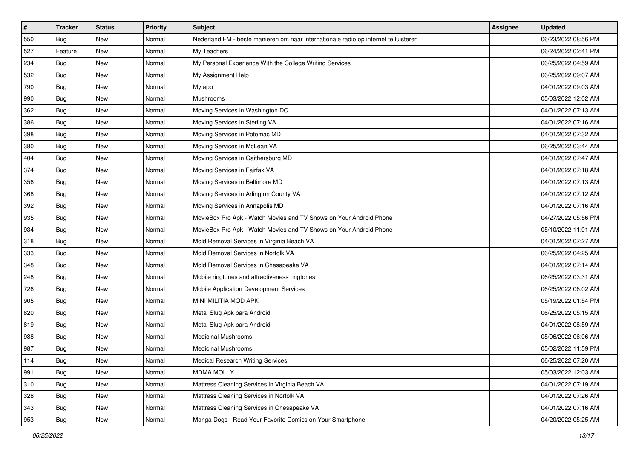| #   | <b>Tracker</b> | <b>Status</b> | <b>Priority</b> | <b>Subject</b>                                                                      | <b>Assignee</b> | <b>Updated</b>      |
|-----|----------------|---------------|-----------------|-------------------------------------------------------------------------------------|-----------------|---------------------|
| 550 | <b>Bug</b>     | <b>New</b>    | Normal          | Nederland FM - beste manieren om naar internationale radio op internet te luisteren |                 | 06/23/2022 08:56 PM |
| 527 | Feature        | New           | Normal          | My Teachers                                                                         |                 | 06/24/2022 02:41 PM |
| 234 | Bug            | New           | Normal          | My Personal Experience With the College Writing Services                            |                 | 06/25/2022 04:59 AM |
| 532 | Bug            | <b>New</b>    | Normal          | My Assignment Help                                                                  |                 | 06/25/2022 09:07 AM |
| 790 | <b>Bug</b>     | New           | Normal          | My app                                                                              |                 | 04/01/2022 09:03 AM |
| 990 | Bug            | New           | Normal          | Mushrooms                                                                           |                 | 05/03/2022 12:02 AM |
| 362 | Bug            | New           | Normal          | Moving Services in Washington DC                                                    |                 | 04/01/2022 07:13 AM |
| 386 | Bug            | <b>New</b>    | Normal          | Moving Services in Sterling VA                                                      |                 | 04/01/2022 07:16 AM |
| 398 | Bug            | New           | Normal          | Moving Services in Potomac MD                                                       |                 | 04/01/2022 07:32 AM |
| 380 | Bug            | <b>New</b>    | Normal          | Moving Services in McLean VA                                                        |                 | 06/25/2022 03:44 AM |
| 404 | Bug            | New           | Normal          | Moving Services in Gaithersburg MD                                                  |                 | 04/01/2022 07:47 AM |
| 374 | Bug            | <b>New</b>    | Normal          | Moving Services in Fairfax VA                                                       |                 | 04/01/2022 07:18 AM |
| 356 | Bug            | <b>New</b>    | Normal          | Moving Services in Baltimore MD                                                     |                 | 04/01/2022 07:13 AM |
| 368 | Bug            | New           | Normal          | Moving Services in Arlington County VA                                              |                 | 04/01/2022 07:12 AM |
| 392 | Bug            | <b>New</b>    | Normal          | Moving Services in Annapolis MD                                                     |                 | 04/01/2022 07:16 AM |
| 935 | Bug            | New           | Normal          | MovieBox Pro Apk - Watch Movies and TV Shows on Your Android Phone                  |                 | 04/27/2022 05:56 PM |
| 934 | <b>Bug</b>     | New           | Normal          | MovieBox Pro Apk - Watch Movies and TV Shows on Your Android Phone                  |                 | 05/10/2022 11:01 AM |
| 318 | Bug            | New           | Normal          | Mold Removal Services in Virginia Beach VA                                          |                 | 04/01/2022 07:27 AM |
| 333 | Bug            | <b>New</b>    | Normal          | Mold Removal Services in Norfolk VA                                                 |                 | 06/25/2022 04:25 AM |
| 348 | Bug            | New           | Normal          | Mold Removal Services in Chesapeake VA                                              |                 | 04/01/2022 07:14 AM |
| 248 | Bug            | <b>New</b>    | Normal          | Mobile ringtones and attractiveness ringtones                                       |                 | 06/25/2022 03:31 AM |
| 726 | Bug            | New           | Normal          | Mobile Application Development Services                                             |                 | 06/25/2022 06:02 AM |
| 905 | Bug            | <b>New</b>    | Normal          | MINI MILITIA MOD APK                                                                |                 | 05/19/2022 01:54 PM |
| 820 | <b>Bug</b>     | New           | Normal          | Metal Slug Apk para Android                                                         |                 | 06/25/2022 05:15 AM |
| 819 | Bug            | New           | Normal          | Metal Slug Apk para Android                                                         |                 | 04/01/2022 08:59 AM |
| 988 | Bug            | <b>New</b>    | Normal          | <b>Medicinal Mushrooms</b>                                                          |                 | 05/06/2022 06:06 AM |
| 987 | <b>Bug</b>     | New           | Normal          | <b>Medicinal Mushrooms</b>                                                          |                 | 05/02/2022 11:59 PM |
| 114 | Bug            | New           | Normal          | <b>Medical Research Writing Services</b>                                            |                 | 06/25/2022 07:20 AM |
| 991 | Bug            | New           | Normal          | <b>MDMA MOLLY</b>                                                                   |                 | 05/03/2022 12:03 AM |
| 310 | Bug            | New           | Normal          | Mattress Cleaning Services in Virginia Beach VA                                     |                 | 04/01/2022 07:19 AM |
| 328 | Bug            | New           | Normal          | Mattress Cleaning Services in Norfolk VA                                            |                 | 04/01/2022 07:26 AM |
| 343 | Bug            | New           | Normal          | Mattress Cleaning Services in Chesapeake VA                                         |                 | 04/01/2022 07:16 AM |
| 953 | <b>Bug</b>     | New           | Normal          | Manga Dogs - Read Your Favorite Comics on Your Smartphone                           |                 | 04/20/2022 05:25 AM |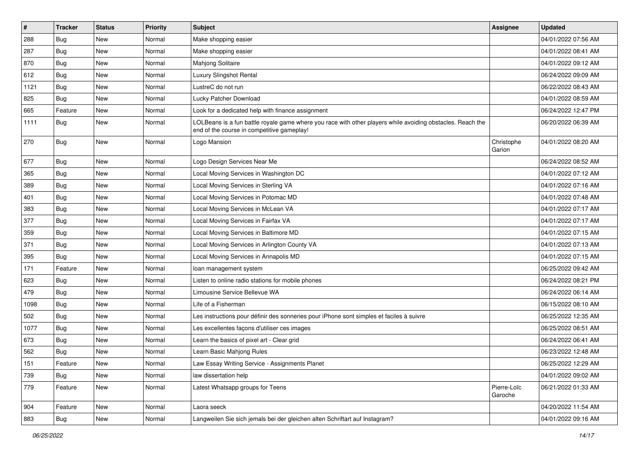| $\vert$ # | <b>Tracker</b> | <b>Status</b> | <b>Priority</b> | <b>Subject</b>                                                                                                                                           | Assignee               | <b>Updated</b>      |
|-----------|----------------|---------------|-----------------|----------------------------------------------------------------------------------------------------------------------------------------------------------|------------------------|---------------------|
| 288       | Bug            | New           | Normal          | Make shopping easier                                                                                                                                     |                        | 04/01/2022 07:56 AM |
| 287       | Bug            | <b>New</b>    | Normal          | Make shopping easier                                                                                                                                     |                        | 04/01/2022 08:41 AM |
| 870       | Bug            | New           | Normal          | Mahjong Solitaire                                                                                                                                        |                        | 04/01/2022 09:12 AM |
| 612       | Bug            | <b>New</b>    | Normal          | Luxury Slingshot Rental                                                                                                                                  |                        | 06/24/2022 09:09 AM |
| 1121      | Bug            | <b>New</b>    | Normal          | LustreC do not run                                                                                                                                       |                        | 06/22/2022 08:43 AM |
| 825       | Bug            | <b>New</b>    | Normal          | Lucky Patcher Download                                                                                                                                   |                        | 04/01/2022 08:59 AM |
| 665       | Feature        | <b>New</b>    | Normal          | Look for a dedicated help with finance assignment                                                                                                        |                        | 06/24/2022 12:47 PM |
| 1111      | Bug            | New           | Normal          | LOLBeans is a fun battle royale game where you race with other players while avoiding obstacles. Reach the<br>end of the course in competitive gameplay! |                        | 06/20/2022 06:39 AM |
| 270       | Bug            | <b>New</b>    | Normal          | Logo Mansion                                                                                                                                             | Christophe<br>Garion   | 04/01/2022 08:20 AM |
| 677       | Bug            | <b>New</b>    | Normal          | Logo Design Services Near Me                                                                                                                             |                        | 06/24/2022 08:52 AM |
| 365       | Bug            | <b>New</b>    | Normal          | Local Moving Services in Washington DC                                                                                                                   |                        | 04/01/2022 07:12 AM |
| 389       | Bug            | <b>New</b>    | Normal          | Local Moving Services in Sterling VA                                                                                                                     |                        | 04/01/2022 07:16 AM |
| 401       | Bug            | <b>New</b>    | Normal          | Local Moving Services in Potomac MD                                                                                                                      |                        | 04/01/2022 07:48 AM |
| 383       | Bug            | <b>New</b>    | Normal          | Local Moving Services in McLean VA                                                                                                                       |                        | 04/01/2022 07:17 AM |
| 377       | Bug            | <b>New</b>    | Normal          | Local Moving Services in Fairfax VA                                                                                                                      |                        | 04/01/2022 07:17 AM |
| 359       | Bug            | <b>New</b>    | Normal          | Local Moving Services in Baltimore MD                                                                                                                    |                        | 04/01/2022 07:15 AM |
| 371       | Bug            | New           | Normal          | Local Moving Services in Arlington County VA                                                                                                             |                        | 04/01/2022 07:13 AM |
| 395       | Bug            | <b>New</b>    | Normal          | Local Moving Services in Annapolis MD                                                                                                                    |                        | 04/01/2022 07:15 AM |
| 171       | Feature        | <b>New</b>    | Normal          | loan management system                                                                                                                                   |                        | 06/25/2022 09:42 AM |
| 623       | Bug            | <b>New</b>    | Normal          | Listen to online radio stations for mobile phones                                                                                                        |                        | 06/24/2022 08:21 PM |
| 479       | Bug            | <b>New</b>    | Normal          | Limousine Service Bellevue WA                                                                                                                            |                        | 06/24/2022 06:14 AM |
| 1098      | Bug            | New           | Normal          | Life of a Fisherman                                                                                                                                      |                        | 06/15/2022 08:10 AM |
| 502       | Bug            | <b>New</b>    | Normal          | Les instructions pour définir des sonneries pour iPhone sont simples et faciles à suivre                                                                 |                        | 06/25/2022 12:35 AM |
| 1077      | Bug            | <b>New</b>    | Normal          | Les excellentes façons d'utiliser ces images                                                                                                             |                        | 06/25/2022 08:51 AM |
| 673       | Bug            | <b>New</b>    | Normal          | Learn the basics of pixel art - Clear grid                                                                                                               |                        | 06/24/2022 06:41 AM |
| 562       | Bug            | <b>New</b>    | Normal          | Learn Basic Mahjong Rules                                                                                                                                |                        | 06/23/2022 12:48 AM |
| 151       | Feature        | New           | Normal          | Law Essay Writing Service - Assignments Planet                                                                                                           |                        | 06/25/2022 12:29 AM |
| 739       | Bug            | New           | Normal          | law dissertation help                                                                                                                                    |                        | 04/01/2022 09:02 AM |
| 779       | Feature        | New           | Normal          | Latest Whatsapp groups for Teens                                                                                                                         | Pierre-Loïc<br>Garoche | 06/21/2022 01:33 AM |
| 904       | Feature        | New           | Normal          | Laora seeck                                                                                                                                              |                        | 04/20/2022 11:54 AM |
| 883       | <b>Bug</b>     | New           | Normal          | Langweilen Sie sich jemals bei der gleichen alten Schriftart auf Instagram?                                                                              |                        | 04/01/2022 09:16 AM |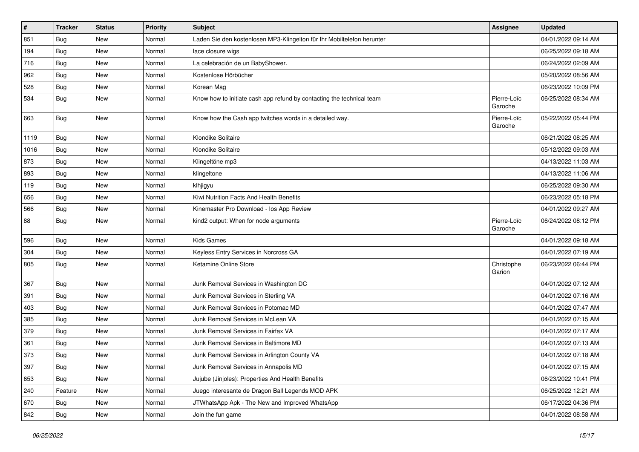| $\vert$ # | <b>Tracker</b> | <b>Status</b> | <b>Priority</b> | <b>Subject</b>                                                         | Assignee               | <b>Updated</b>      |
|-----------|----------------|---------------|-----------------|------------------------------------------------------------------------|------------------------|---------------------|
| 851       | <b>Bug</b>     | New           | Normal          | Laden Sie den kostenlosen MP3-Klingelton für Ihr Mobiltelefon herunter |                        | 04/01/2022 09:14 AM |
| 194       | Bug            | <b>New</b>    | Normal          | lace closure wigs                                                      |                        | 06/25/2022 09:18 AM |
| 716       | Bug            | New           | Normal          | La celebración de un BabyShower.                                       |                        | 06/24/2022 02:09 AM |
| 962       | <b>Bug</b>     | New           | Normal          | Kostenlose Hörbücher                                                   |                        | 05/20/2022 08:56 AM |
| 528       | <b>Bug</b>     | <b>New</b>    | Normal          | Korean Mag                                                             |                        | 06/23/2022 10:09 PM |
| 534       | Bug            | New           | Normal          | Know how to initiate cash app refund by contacting the technical team  | Pierre-Loïc<br>Garoche | 06/25/2022 08:34 AM |
| 663       | <b>Bug</b>     | New           | Normal          | Know how the Cash app twitches words in a detailed way.                | Pierre-Loïc<br>Garoche | 05/22/2022 05:44 PM |
| 1119      | Bug            | <b>New</b>    | Normal          | Klondike Solitaire                                                     |                        | 06/21/2022 08:25 AM |
| 1016      | Bug            | New           | Normal          | Klondike Solitaire                                                     |                        | 05/12/2022 09:03 AM |
| 873       | <b>Bug</b>     | New           | Normal          | Klingeltöne mp3                                                        |                        | 04/13/2022 11:03 AM |
| 893       | Bug            | <b>New</b>    | Normal          | klingeltone                                                            |                        | 04/13/2022 11:06 AM |
| 119       | <b>Bug</b>     | New           | Normal          | klhjigyu                                                               |                        | 06/25/2022 09:30 AM |
| 656       | Bug            | New           | Normal          | Kiwi Nutrition Facts And Health Benefits                               |                        | 06/23/2022 05:18 PM |
| 566       | Bug            | <b>New</b>    | Normal          | Kinemaster Pro Download - los App Review                               |                        | 04/01/2022 09:27 AM |
| 88        | Bug            | New           | Normal          | kind2 output: When for node arguments                                  | Pierre-Loïc<br>Garoche | 06/24/2022 08:12 PM |
| 596       | Bug            | New           | Normal          | Kids Games                                                             |                        | 04/01/2022 09:18 AM |
| 304       | Bug            | New           | Normal          | Keyless Entry Services in Norcross GA                                  |                        | 04/01/2022 07:19 AM |
| 805       | Bug            | New           | Normal          | Ketamine Online Store                                                  | Christophe<br>Garion   | 06/23/2022 06:44 PM |
| 367       | Bug            | New           | Normal          | Junk Removal Services in Washington DC                                 |                        | 04/01/2022 07:12 AM |
| 391       | <b>Bug</b>     | New           | Normal          | Junk Removal Services in Sterling VA                                   |                        | 04/01/2022 07:16 AM |
| 403       | <b>Bug</b>     | <b>New</b>    | Normal          | Junk Removal Services in Potomac MD                                    |                        | 04/01/2022 07:47 AM |
| 385       | Bug            | New           | Normal          | Junk Removal Services in McLean VA                                     |                        | 04/01/2022 07:15 AM |
| 379       | Bug            | New           | Normal          | Junk Removal Services in Fairfax VA                                    |                        | 04/01/2022 07:17 AM |
| 361       | <b>Bug</b>     | New           | Normal          | Junk Removal Services in Baltimore MD                                  |                        | 04/01/2022 07:13 AM |
| 373       | Bug            | <b>New</b>    | Normal          | Junk Removal Services in Arlington County VA                           |                        | 04/01/2022 07:18 AM |
| 397       | <b>Bug</b>     | New           | Normal          | Junk Removal Services in Annapolis MD                                  |                        | 04/01/2022 07:15 AM |
| 653       | Bug            | New           | Normal          | Jujube (Jinjoles): Properties And Health Benefits                      |                        | 06/23/2022 10:41 PM |
| 240       | Feature        | New           | Normal          | Juego interesante de Dragon Ball Legends MOD APK                       |                        | 06/25/2022 12:21 AM |
| 670       | Bug            | New           | Normal          | JTWhatsApp Apk - The New and Improved WhatsApp                         |                        | 06/17/2022 04:36 PM |
| 842       | Bug            | New           | Normal          | Join the fun game                                                      |                        | 04/01/2022 08:58 AM |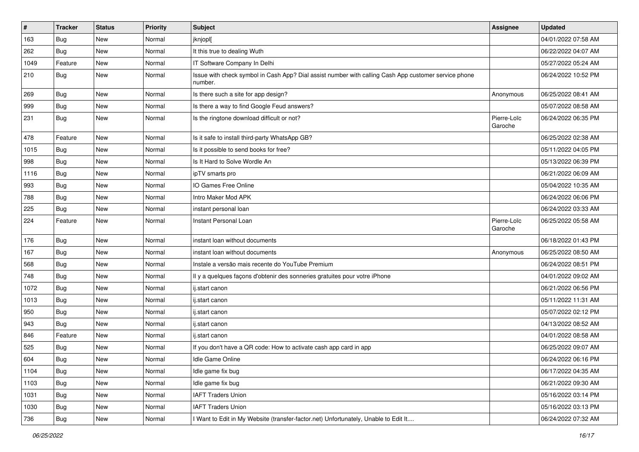| $\pmb{\#}$ | <b>Tracker</b> | <b>Status</b> | <b>Priority</b> | <b>Subject</b>                                                                                                  | Assignee               | <b>Updated</b>      |
|------------|----------------|---------------|-----------------|-----------------------------------------------------------------------------------------------------------------|------------------------|---------------------|
| 163        | Bug            | New           | Normal          | jknjopl[                                                                                                        |                        | 04/01/2022 07:58 AM |
| 262        | Bug            | <b>New</b>    | Normal          | It this true to dealing Wuth                                                                                    |                        | 06/22/2022 04:07 AM |
| 1049       | Feature        | New           | Normal          | IT Software Company In Delhi                                                                                    |                        | 05/27/2022 05:24 AM |
| 210        | Bug            | New           | Normal          | Issue with check symbol in Cash App? Dial assist number with calling Cash App customer service phone<br>number. |                        | 06/24/2022 10:52 PM |
| 269        | Bug            | New           | Normal          | Is there such a site for app design?                                                                            | Anonymous              | 06/25/2022 08:41 AM |
| 999        | Bug            | <b>New</b>    | Normal          | Is there a way to find Google Feud answers?                                                                     |                        | 05/07/2022 08:58 AM |
| 231        | Bug            | New           | Normal          | Is the ringtone download difficult or not?                                                                      | Pierre-Loïc<br>Garoche | 06/24/2022 06:35 PM |
| 478        | Feature        | <b>New</b>    | Normal          | Is it safe to install third-party WhatsApp GB?                                                                  |                        | 06/25/2022 02:38 AM |
| 1015       | Bug            | New           | Normal          | Is it possible to send books for free?                                                                          |                        | 05/11/2022 04:05 PM |
| 998        | Bug            | <b>New</b>    | Normal          | Is It Hard to Solve Wordle An                                                                                   |                        | 05/13/2022 06:39 PM |
| 1116       | Bug            | <b>New</b>    | Normal          | ipTV smarts pro                                                                                                 |                        | 06/21/2022 06:09 AM |
| 993        | Bug            | <b>New</b>    | Normal          | IO Games Free Online                                                                                            |                        | 05/04/2022 10:35 AM |
| 788        | Bug            | <b>New</b>    | Normal          | Intro Maker Mod APK                                                                                             |                        | 06/24/2022 06:06 PM |
| 225        | Bug            | New           | Normal          | instant personal loan                                                                                           |                        | 06/24/2022 03:33 AM |
| 224        | Feature        | New           | Normal          | Instant Personal Loan                                                                                           | Pierre-Loïc<br>Garoche | 06/25/2022 05:58 AM |
| 176        | Bug            | New           | Normal          | instant loan without documents                                                                                  |                        | 06/18/2022 01:43 PM |
| 167        | Bug            | <b>New</b>    | Normal          | instant loan without documents                                                                                  | Anonymous              | 06/25/2022 08:50 AM |
| 568        | Bug            | New           | Normal          | Instale a versão mais recente do YouTube Premium                                                                |                        | 06/24/2022 08:51 PM |
| 748        | Bug            | <b>New</b>    | Normal          | Il y a quelques façons d'obtenir des sonneries gratuites pour votre iPhone                                      |                        | 04/01/2022 09:02 AM |
| 1072       | Bug            | <b>New</b>    | Normal          | ij.start canon                                                                                                  |                        | 06/21/2022 06:56 PM |
| 1013       | Bug            | New           | Normal          | ij.start canon                                                                                                  |                        | 05/11/2022 11:31 AM |
| 950        | Bug            | New           | Normal          | ij.start canon                                                                                                  |                        | 05/07/2022 02:12 PM |
| 943        | Bug            | <b>New</b>    | Normal          | ij.start canon                                                                                                  |                        | 04/13/2022 08:52 AM |
| 846        | Feature        | <b>New</b>    | Normal          | ij.start canon                                                                                                  |                        | 04/01/2022 08:58 AM |
| 525        | Bug            | New           | Normal          | If you don't have a QR code: How to activate cash app card in app                                               |                        | 06/25/2022 09:07 AM |
| 604        | j Bug          | New           | Normal          | Idle Game Online                                                                                                |                        | 06/24/2022 06:16 PM |
| 1104       | Bug            | New           | Normal          | Idle game fix bug                                                                                               |                        | 06/17/2022 04:35 AM |
| 1103       | Bug            | New           | Normal          | Idle game fix bug                                                                                               |                        | 06/21/2022 09:30 AM |
| 1031       | Bug            | New           | Normal          | <b>IAFT Traders Union</b>                                                                                       |                        | 05/16/2022 03:14 PM |
| 1030       | Bug            | New           | Normal          | <b>IAFT Traders Union</b>                                                                                       |                        | 05/16/2022 03:13 PM |
| 736        | <b>Bug</b>     | New           | Normal          | I Want to Edit in My Website (transfer-factor.net) Unfortunately, Unable to Edit It                             |                        | 06/24/2022 07:32 AM |